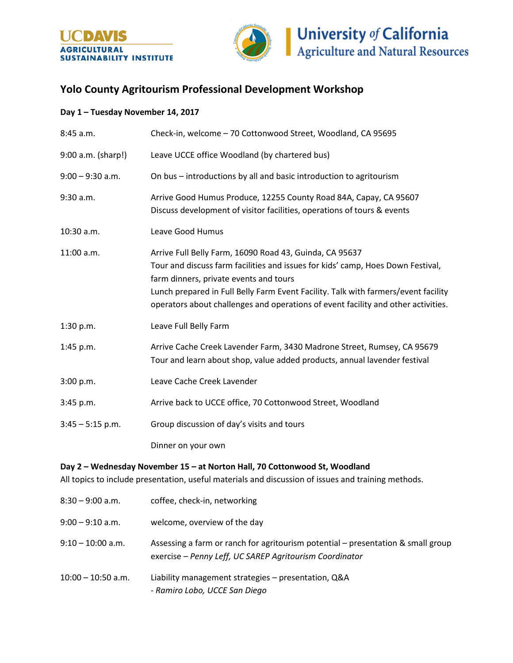



## **Yolo County Agritourism Professional Development Workshop**

## **Day 1 – Tuesday November 14, 2017**

| 8:45 a.m.          | Check-in, welcome - 70 Cottonwood Street, Woodland, CA 95695                                                                                                                                                                                                                                                                                                    |
|--------------------|-----------------------------------------------------------------------------------------------------------------------------------------------------------------------------------------------------------------------------------------------------------------------------------------------------------------------------------------------------------------|
| 9:00 a.m. (sharp!) | Leave UCCE office Woodland (by chartered bus)                                                                                                                                                                                                                                                                                                                   |
| $9:00 - 9:30$ a.m. | On bus - introductions by all and basic introduction to agritourism                                                                                                                                                                                                                                                                                             |
| 9:30 a.m.          | Arrive Good Humus Produce, 12255 County Road 84A, Capay, CA 95607<br>Discuss development of visitor facilities, operations of tours & events                                                                                                                                                                                                                    |
| $10:30$ a.m.       | Leave Good Humus                                                                                                                                                                                                                                                                                                                                                |
| 11:00 a.m.         | Arrive Full Belly Farm, 16090 Road 43, Guinda, CA 95637<br>Tour and discuss farm facilities and issues for kids' camp, Hoes Down Festival,<br>farm dinners, private events and tours<br>Lunch prepared in Full Belly Farm Event Facility. Talk with farmers/event facility<br>operators about challenges and operations of event facility and other activities. |
| 1:30 p.m.          | Leave Full Belly Farm                                                                                                                                                                                                                                                                                                                                           |
| 1:45 p.m.          | Arrive Cache Creek Lavender Farm, 3430 Madrone Street, Rumsey, CA 95679<br>Tour and learn about shop, value added products, annual lavender festival                                                                                                                                                                                                            |
| 3:00 p.m.          | Leave Cache Creek Lavender                                                                                                                                                                                                                                                                                                                                      |
| 3:45 p.m.          | Arrive back to UCCE office, 70 Cottonwood Street, Woodland                                                                                                                                                                                                                                                                                                      |
| $3:45 - 5:15$ p.m. | Group discussion of day's visits and tours                                                                                                                                                                                                                                                                                                                      |
|                    | Dinner on your own                                                                                                                                                                                                                                                                                                                                              |

## **Day 2 – Wednesday November 15 – at Norton Hall, 70 Cottonwood St, Woodland**

All topics to include presentation, useful materials and discussion of issues and training methods.

| $8:30 - 9:00$ a.m.   | coffee, check-in, networking                                                                                                                |
|----------------------|---------------------------------------------------------------------------------------------------------------------------------------------|
| $9:00 - 9:10$ a.m.   | welcome, overview of the day                                                                                                                |
| $9:10 - 10:00$ a.m.  | Assessing a farm or ranch for agritourism potential – presentation & small group<br>exercise - Penny Leff, UC SAREP Agritourism Coordinator |
| $10:00 - 10:50$ a.m. | Liability management strategies - presentation, Q&A<br>- Ramiro Lobo, UCCE San Diego                                                        |